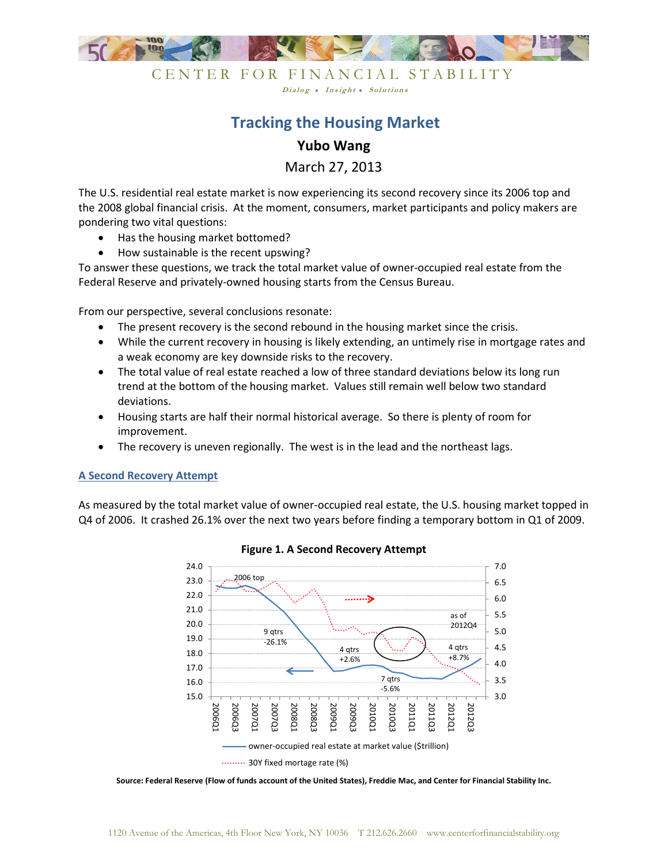

# CENTER FOR FINANCIAL STABILITY Dialog . Insight . Solutions

# **Tracking the Housing Market**

# **Yubo Wang**

March 27, 2013

The U.S. residential real estate market is now experiencing its second recovery since its 2006 top and the 2008 global financial crisis. At the moment, consumers, market participants and policy makers are pondering two vital questions:

- Has the housing market bottomed?
- How sustainable is the recent upswing?

To answer these questions, we track the total market value of owner-occupied real estate from the Federal Reserve and privately-owned housing starts from the Census Bureau.

From our perspective, several conclusions resonate:

- The present recovery is the second rebound in the housing market since the crisis.
- While the current recovery in housing is likely extending, an untimely rise in mortgage rates and a weak economy are key downside risks to the recovery.
- The total value of real estate reached a low of three standard deviations below its long run trend at the bottom of the housing market. Values still remain well below two standard deviations.
- Housing starts are half their normal historical average. So there is plenty of room for improvement.
- The recovery is uneven regionally. The west is in the lead and the northeast lags.

# **A Second Recovery Attempt**

As measured by the total market value of owner-occupied real estate, the U.S. housing market topped in Q4 of 2006. It crashed 26.1% over the next two years before finding a temporary bottom in Q1 of 2009.



# **Figure 1. A Second Recovery Attempt**

**Source: Federal Reserve (Flow of funds account of the United States), Freddie Mac, and Center for Financial Stability Inc.**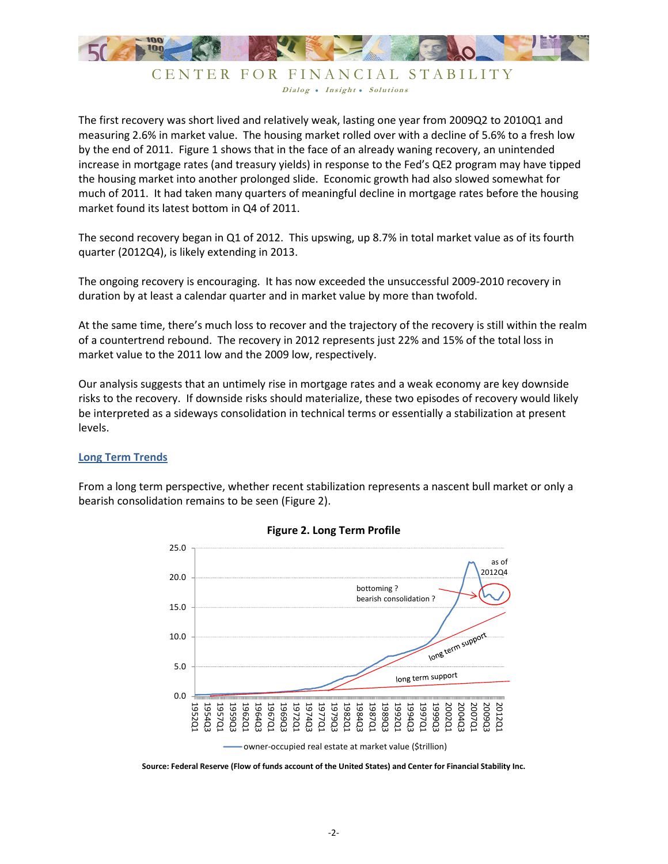

# CENTER FOR FINANCIAL STABILITY Dialog . Insight . Solutions

The first recovery was short lived and relatively weak, lasting one year from 2009Q2 to 2010Q1 and measuring 2.6% in market value. The housing market rolled over with a decline of 5.6% to a fresh low by the end of 2011. Figure 1 shows that in the face of an already waning recovery, an unintended increase in mortgage rates (and treasury yields) in response to the Fed's QE2 program may have tipped the housing market into another prolonged slide. Economic growth had also slowed somewhat for much of 2011. It had taken many quarters of meaningful decline in mortgage rates before the housing market found its latest bottom in Q4 of 2011.

The second recovery began in Q1 of 2012. This upswing, up 8.7% in total market value as of its fourth quarter (2012Q4), is likely extending in 2013.

The ongoing recovery is encouraging. It has now exceeded the unsuccessful 2009-2010 recovery in duration by at least a calendar quarter and in market value by more than twofold.

At the same time, there's much loss to recover and the trajectory of the recovery is still within the realm of a countertrend rebound. The recovery in 2012 represents just 22% and 15% of the total loss in market value to the 2011 low and the 2009 low, respectively.

Our analysis suggests that an untimely rise in mortgage rates and a weak economy are key downside risks to the recovery. If downside risks should materialize, these two episodes of recovery would likely be interpreted as a sideways consolidation in technical terms or essentially a stabilization at present levels.

#### **Long Term Trends**

From a long term perspective, whether recent stabilization represents a nascent bull market or only a bearish consolidation remains to be seen (Figure 2).



# **Figure 2. Long Term Profile**

**Source: Federal Reserve (Flow of funds account of the United States) and Center for Financial Stability Inc.**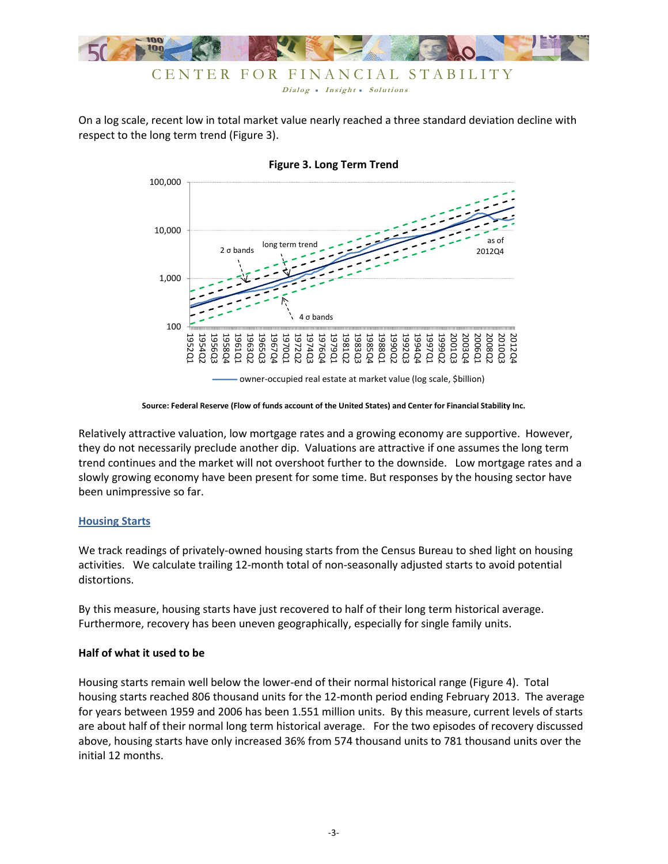

On a log scale, recent low in total market value nearly reached a three standard deviation decline with respect to the long term trend (Figure 3).



**Figure 3. Long Term Trend** 

**Source: Federal Reserve (Flow of funds account of the United States) and Center for Financial Stability Inc.**

Relatively attractive valuation, low mortgage rates and a growing economy are supportive. However, they do not necessarily preclude another dip. Valuations are attractive if one assumes the long term trend continues and the market will not overshoot further to the downside. Low mortgage rates and a slowly growing economy have been present for some time. But responses by the housing sector have been unimpressive so far.

# **Housing Starts**

We track readings of privately-owned housing starts from the Census Bureau to shed light on housing activities. We calculate trailing 12-month total of non-seasonally adjusted starts to avoid potential distortions.

By this measure, housing starts have just recovered to half of their long term historical average. Furthermore, recovery has been uneven geographically, especially for single family units.

# **Half of what it used to be**

Housing starts remain well below the lower-end of their normal historical range (Figure 4). Total housing starts reached 806 thousand units for the 12-month period ending February 2013. The average for years between 1959 and 2006 has been 1.551 million units. By this measure, current levels of starts are about half of their normal long term historical average. For the two episodes of recovery discussed above, housing starts have only increased 36% from 574 thousand units to 781 thousand units over the initial 12 months.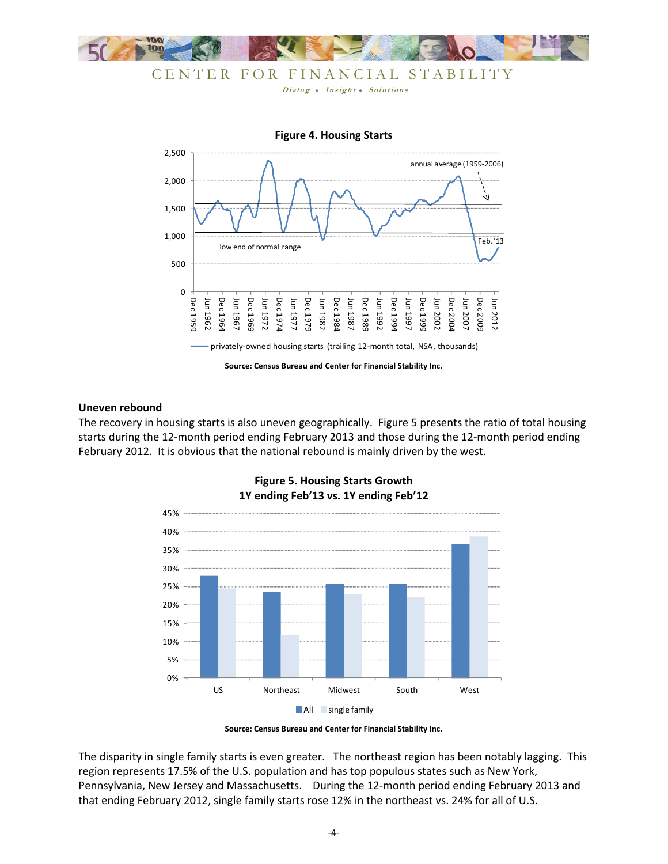





**Source: Census Bureau and Center for Financial Stability Inc.** 

# **Uneven rebound**

The recovery in housing starts is also uneven geographically. Figure 5 presents the ratio of total housing starts during the 12-month period ending February 2013 and those during the 12-month period ending February 2012. It is obvious that the national rebound is mainly driven by the west.





The disparity in single family starts is even greater. The northeast region has been notably lagging. This region represents 17.5% of the U.S. population and has top populous states such as New York, Pennsylvania, New Jersey and Massachusetts. During the 12-month period ending February 2013 and that ending February 2012, single family starts rose 12% in the northeast vs. 24% for all of U.S.

**Source: Census Bureau and Center for Financial Stability Inc.**